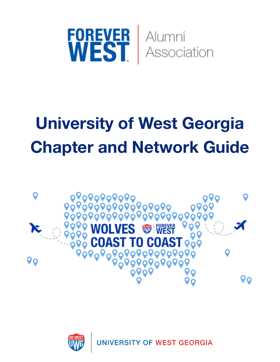

# **University of West Georgia Chapter and Network Guide**



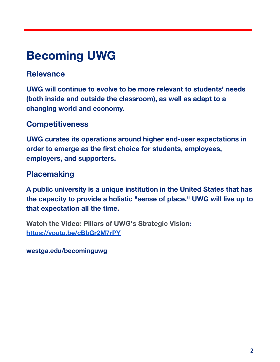## **Becoming UWG**

### **Relevance**

**UWG will continue to evolve to be more relevant to students' needs (both inside and outside the classroom), as well as adapt to a changing world and economy.**

### **Competitiveness**

**UWG curates its operations around higher end-user expectations in order to emerge as the first choice for students, employees, employers, and supporters.**

### **Placemaking**

**A public university is a unique institution in the United States that has the capacity to provide a holistic "sense of place." UWG will live up to that expectation all the time.**

**[Watch the Video: Pillars of UWG's Strategic Vision](https://youtu.be/cBbGr2M7rPY): <https://youtu.be/cBbGr2M7rPY>**

**westga.edu/becominguwg**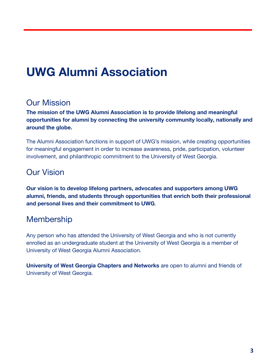## **UWG Alumni Association**

### Our Mission

**The mission of the UWG Alumni Association is to provide lifelong and meaningful opportunities for alumni by connecting the university community locally, nationally and around the globe.**

The Alumni Association functions in support of UWG's mission, while creating opportunities for meaningful engagement in order to increase awareness, pride, participation, volunteer involvement, and philanthropic commitment to the University of West Georgia.

### Our Vision

**Our vision is to develop lifelong partners, advocates and supporters among UWG alumni, friends, and students through opportunities that enrich both their professional and personal lives and their commitment to UWG**.

### Membership

Any person who has attended the University of West Georgia and who is not currently enrolled as an undergraduate student at the University of West Georgia is a member of University of West Georgia Alumni Association.

**University of West Georgia Chapters and Networks** are open to alumni and friends of University of West Georgia.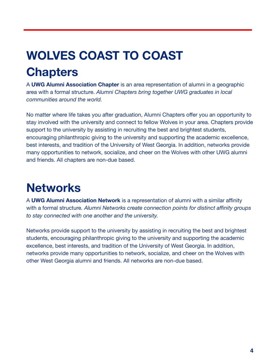## **WOLVES COAST TO COAST Chapters**

A **UWG Alumni Association Chapter** is an area representation of alumni in a geographic area with a formal structure. *Alumni Chapters bring together UWG graduates in local communities around the world.*

No matter where life takes you after graduation, Alumni Chapters offer you an opportunity to stay involved with the university and connect to fellow Wolves in your area. Chapters provide support to the university by assisting in recruiting the best and brightest students, encouraging philanthropic giving to the university and supporting the academic excellence, best interests, and tradition of the University of West Georgia. In addition, networks provide many opportunities to network, socialize, and cheer on the Wolves with other UWG alumni and friends. All chapters are non-due based.

## **Networks**

A **UWG Alumni Association Network** is a representation of alumni with a similar affinity with a formal structure*. Alumni Networks create connection points for distinct affinity groups to stay connected with one another and the university.*

Networks provide support to the university by assisting in recruiting the best and brightest students, encouraging philanthropic giving to the university and supporting the academic excellence, best interests, and tradition of the University of West Georgia. In addition, networks provide many opportunities to network, socialize, and cheer on the Wolves with other West Georgia alumni and friends. All networks are non-due based.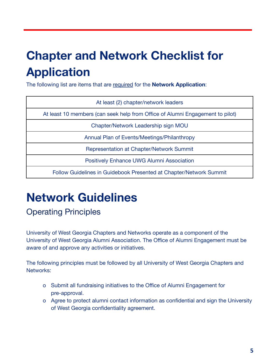## **Chapter and Network Checklist for Application**

The following list are items that are required for the **Network Application**:

| At least (2) chapter/network leaders                                          |
|-------------------------------------------------------------------------------|
| At least 10 members (can seek help from Office of Alumni Engagement to pilot) |
| Chapter/Network Leadership sign MOU                                           |
| Annual Plan of Events/Meetings/Philanthropy                                   |
| <b>Representation at Chapter/Network Summit</b>                               |
| Positively Enhance UWG Alumni Association                                     |
| Follow Guidelines in Guidebook Presented at Chapter/Network Summit            |

## **Network Guidelines**

## Operating Principles

University of West Georgia Chapters and Networks operate as a component of the University of West Georgia Alumni Association. The Office of Alumni Engagement must be aware of and approve any activities or initiatives.

The following principles must be followed by all University of West Georgia Chapters and Networks:

- o Submit all fundraising initiatives to the Office of Alumni Engagement for pre-approval.
- o Agree to protect alumni contact information as confidential and sign the University of West Georgia confidentiality agreement.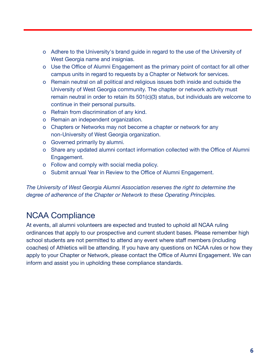- o Adhere to the University's brand guide in regard to the use of the University of West Georgia name and insignias.
- o Use the Office of Alumni Engagement as the primary point of contact for all other campus units in regard to requests by a Chapter or Network for services.
- o Remain neutral on all political and religious issues both inside and outside the University of West Georgia community. The chapter or network activity must remain neutral in order to retain its 501(c)(3) status, but individuals are welcome to continue in their personal pursuits.
- o Refrain from discrimination of any kind.
- o Remain an independent organization.
- o Chapters or Networks may not become a chapter or network for any non-University of West Georgia organization.
- o Governed primarily by alumni.
- o Share any updated alumni contact information collected with the Office of Alumni Engagement.
- o Follow and comply with social media policy.
- o Submit annual Year in Review to the Office of Alumni Engagement.

*The University of West Georgia Alumni Association reserves the right to determine the degree of adherence of the Chapter or Network to these Operating Principles.*

### NCAA Compliance

At events, all alumni volunteers are expected and trusted to uphold all NCAA ruling ordinances that apply to our prospective and current student bases. Please remember high school students are not permitted to attend any event where staff members (including coaches) of Athletics will be attending. If you have any questions on NCAA rules or how they apply to your Chapter or Network, please contact the Office of Alumni Engagement. We can inform and assist you in upholding these compliance standards.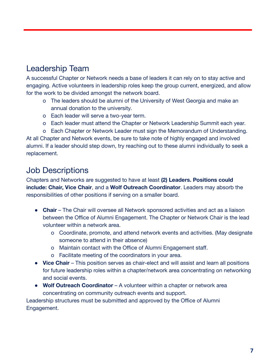## Leadership Team

A successful Chapter or Network needs a base of leaders it can rely on to stay active and engaging. Active volunteers in leadership roles keep the group current, energized, and allow for the work to be divided amongst the network board.

- o The leaders should be alumni of the University of West Georgia and make an annual donation to the university.
- o Each leader will serve a two-year term.
- o Each leader must attend the Chapter or Network Leadership Summit each year.
- o Each Chapter or Network Leader must sign the Memorandum of Understanding.

At all Chapter and Network events, be sure to take note of highly engaged and involved alumni. If a leader should step down, try reaching out to these alumni individually to seek a replacement.

### Job Descriptions

Chapters and Networks are suggested to have at least **(2) Leaders. Positions could include: Chair, Vice Chair**, and a **Wolf Outreach Coordinator**. Leaders may absorb the responsibilities of other positions if serving on a smaller board.

- **Chair** The Chair will oversee all Network sponsored activities and act as a liaison between the Office of Alumni Engagement. The Chapter or Network Chair is the lead volunteer within a network area.
	- o Coordinate, promote, and attend network events and activities. (May designate someone to attend in their absence)
	- o Maintain contact with the Office of Alumni Engagement staff.
	- o Facilitate meeting of the coordinators in your area.
- **Vice Chair** This position serves as chair-elect and will assist and learn all positions for future leadership roles within a chapter/network area concentrating on networking and social events.
- **Wolf Outreach Coordinator** A volunteer within a chapter or network area concentrating on community outreach events and support.

Leadership structures must be submitted and approved by the Office of Alumni Engagement.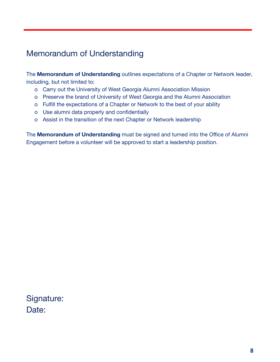## Memorandum of Understanding

The **Memorandum of Understanding** outlines expectations of a Chapter or Network leader, including, but not limited to:

- o Carry out the University of West Georgia Alumni Association Mission
- o Preserve the brand of University of West Georgia and the Alumni Association
- o Fulfill the expectations of a Chapter or Network to the best of your ability
- o Use alumni data properly and confidentially
- o Assist in the transition of the next Chapter or Network leadership

The **Memorandum of Understanding** must be signed and turned into the Office of Alumni Engagement before a volunteer will be approved to start a leadership position.

Signature: Date: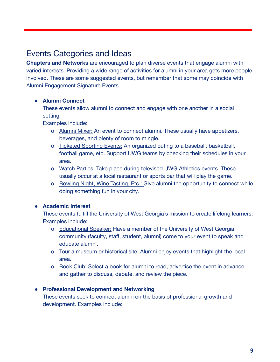### Events Categories and Ideas

**Chapters and Networks** are encouraged to plan diverse events that engage alumni with varied interests. Providing a wide range of activities for alumni in your area gets more people involved. These are some suggested events, but remember that some may coincide with Alumni Engagement Signature Events.

#### **● Alumni Connect**

These events allow alumni to connect and engage with one another in a social setting.

Examples include:

- o Alumni Mixer: An event to connect alumni. These usually have appetizers, beverages, and plenty of room to mingle.
- o Ticketed Sporting Events: An organized outing to a baseball, basketball, football game, etc. Support UWG teams by checking their schedules in your area.
- o Watch Parties: Take place during televised UWG Athletics events. These usually occur at a local restaurant or sports bar that will play the game.
- o Bowling Night, Wine Tasting, Etc.: Give alumni the opportunity to connect while doing something fun in your city.

#### **● Academic Interest**

These events fulfill the University of West Georgia's mission to create lifelong learners. Examples include:

- o Educational Speaker: Have a member of the University of West Georgia community (faculty, staff, student, alumni) come to your event to speak and educate alumni.
- o Tour a museum or historical site: Alumni enjoy events that highlight the local area.
- o Book Club: Select a book for alumni to read, advertise the event in advance, and gather to discuss, debate, and review the piece.

#### **● Professional Development and Networking**

These events seek to connect alumni on the basis of professional growth and development. Examples include: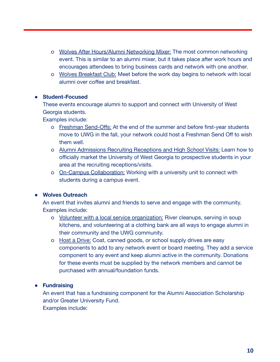- o Wolves After Hours/Alumni Networking Mixer: The most common networking event. This is similar to an alumni mixer, but it takes place after work hours and encourages attendees to bring business cards and network with one another.
- o Wolves Breakfast Club: Meet before the work day begins to network with local alumni over coffee and breakfast.

#### **● Student-Focused**

These events encourage alumni to support and connect with University of West Georgia students.

Examples include:

- o Freshman Send-Offs: At the end of the summer and before first-year students move to UWG in the fall, your network could host a Freshman Send Off to wish them well.
- o Alumni Admissions Recruiting Receptions and High School Visits: Learn how to officially market the University of West Georgia to prospective students in your area at the recruiting receptions/visits.
- o On-Campus Collaboration: Working with a university unit to connect with students during a campus event.

#### **● Wolves Outreach**

An event that invites alumni and friends to serve and engage with the community. Examples include:

- o Volunteer with a local service organization: River cleanups, serving in soup kitchens, and volunteering at a clothing bank are all ways to engage alumni in their community and the UWG community.
- o Host a Drive: Coat, canned goods, or school supply drives are easy components to add to any network event or board meeting. They add a service component to any event and keep alumni active in the community. Donations for these events must be supplied by the network members and cannot be purchased with annual/foundation funds.

#### **● Fundraising**

An event that has a fundraising component for the Alumni Association Scholarship and/or Greater University Fund. Examples include: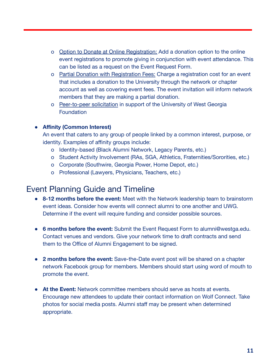- o Option to Donate at Online Registration: Add a donation option to the online event registrations to promote giving in conjunction with event attendance. This can be listed as a request on the Event Request Form.
- o Partial Donation with Registration Fees: Charge a registration cost for an event that includes a donation to the University through the network or chapter account as well as covering event fees. The event invitation will inform network members that they are making a partial donation.
- o Peer-to-peer solicitation in support of the University of West Georgia Foundation

#### **● Affinity (Common Interest)**

An event that caters to any group of people linked by a common interest, purpose, or identity. Examples of affinity groups include:

- o Identity-based (Black Alumni Network, Legacy Parents, etc.)
- o Student Activity Involvement (RAs, SGA, Athletics, Fraternities/Sororities, etc.)
- o Corporate (Southwire, Georgia Power, Home Depot, etc.)
- o Professional (Lawyers, Physicians, Teachers, etc.)

#### Event Planning Guide and Timeline

- **8-12 months before the event:** Meet with the Network leadership team to brainstorm event ideas. Consider how events will connect alumni to one another and UWG. Determine if the event will require funding and consider possible sources.
- **6 months before the event:** Submit the Event Request Form to alumni@westga.edu. Contact venues and vendors. Give your network time to draft contracts and send them to the Office of Alumni Engagement to be signed.
- **2 months before the event:** Save-the-Date event post will be shared on a chapter network Facebook group for members. Members should start using word of mouth to promote the event.
- **At the Event:** Network committee members should serve as hosts at events. Encourage new attendees to update their contact information on Wolf Connect. Take photos for social media posts. Alumni staff may be present when determined appropriate.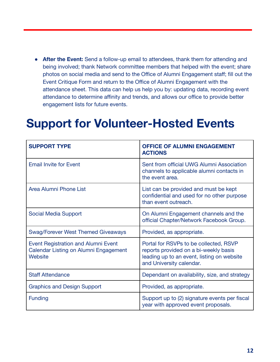**• After the Event:** Send a follow-up email to attendees, thank them for attending and being involved; thank Network committee members that helped with the event; share photos on social media and send to the Office of Alumni Engagement staff; fill out the Event Critique Form and return to the Office of Alumni Engagement with the attendance sheet. This data can help us help you by: updating data, recording event attendance to determine affinity and trends, and allows our office to provide better engagement lists for future events.

## **Support for Volunteer-Hosted Events**

| <b>SUPPORT TYPE</b>                                                                            | <b>OFFICE OF ALUMNI ENGAGEMENT</b><br><b>ACTIONS</b>                                                                                                      |
|------------------------------------------------------------------------------------------------|-----------------------------------------------------------------------------------------------------------------------------------------------------------|
| <b>Email Invite for Event</b>                                                                  | Sent from official UWG Alumni Association<br>channels to applicable alumni contacts in<br>the event area.                                                 |
| Area Alumni Phone List                                                                         | List can be provided and must be kept<br>confidential and used for no other purpose<br>than event outreach.                                               |
| <b>Social Media Support</b>                                                                    | On Alumni Engagement channels and the<br>official Chapter/Network Facebook Group.                                                                         |
| <b>Swag/Forever West Themed Giveaways</b>                                                      | Provided, as appropriate.                                                                                                                                 |
| <b>Event Registration and Alumni Event</b><br>Calendar Listing on Alumni Engagement<br>Website | Portal for RSVPs to be collected, RSVP<br>reports provided on a bi-weekly basis<br>leading up to an event, listing on website<br>and University calendar. |
| <b>Staff Attendance</b>                                                                        | Dependant on availability, size, and strategy                                                                                                             |
| <b>Graphics and Design Support</b>                                                             | Provided, as appropriate.                                                                                                                                 |
| <b>Funding</b>                                                                                 | Support up to (2) signature events per fiscal<br>year with approved event proposals.                                                                      |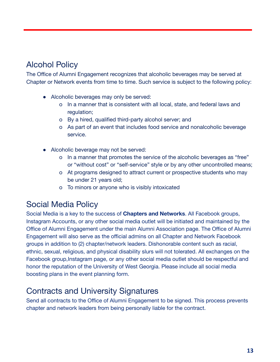### Alcohol Policy

The Office of Alumni Engagement recognizes that alcoholic beverages may be served at Chapter or Network events from time to time. Such service is subject to the following policy:

- Alcoholic beverages may only be served:
	- o In a manner that is consistent with all local, state, and federal laws and regulation;
	- o By a hired, qualified third-party alcohol server; and
	- o As part of an event that includes food service and nonalcoholic beverage service.
- Alcoholic beverage may not be served:
	- o In a manner that promotes the service of the alcoholic beverages as "free" or "without cost" or "self-service" style or by any other uncontrolled means;
	- o At programs designed to attract current or prospective students who may be under 21 years old;
	- o To minors or anyone who is visibly intoxicated

#### Social Media Policy

Social Media is a key to the success of **Chapters and Networks**. All Facebook groups, Instagram Accounts, or any other social media outlet will be initiated and maintained by the Office of Alumni Engagement under the main Alumni Association page. The Office of Alumni Engagement will also serve as the official admins on all Chapter and Network Facebook groups in addition to (2) chapter/network leaders. Dishonorable content such as racial, ethnic, sexual, religious, and physical disability slurs will not tolerated. All exchanges on the Facebook group,Instagram page, or any other social media outlet should be respectful and honor the reputation of the University of West Georgia. Please include all social media boosting plans in the event planning form.

#### Contracts and University Signatures

Send all contracts to the Office of Alumni Engagement to be signed. This process prevents chapter and network leaders from being personally liable for the contract.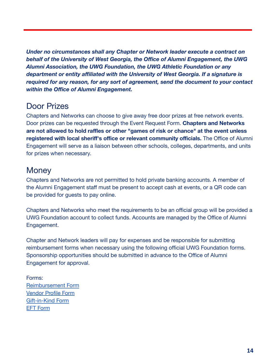*Under no circumstances shall any Chapter or Network leader execute a contract on behalf of the University of West Georgia, the Office of Alumni Engagement, the UWG Alumni Association, the UWG Foundation, the UWG Athletic Foundation or any department or entity affiliated with the University of West Georgia. If a signature is required for any reason, for any sort of agreement, send the document to your contact within the Office of Alumni Engagement.*

#### Door Prizes

Chapters and Networks can choose to give away free door prizes at free network events. Door prizes can be requested through the Event Request Form. **Chapters and Networks are not allowed to hold raffles or other "games of risk or chance" at the event unless registered with local sheriff's office or relevant community officials.** The Office of Alumni Engagement will serve as a liaison between other schools, colleges, departments, and units for prizes when necessary.

### **Money**

Chapters and Networks are not permitted to hold private banking accounts. A member of the Alumni Engagement staff must be present to accept cash at events, or a QR code can be provided for guests to pay online.

Chapters and Networks who meet the requirements to be an official group will be provided a UWG Foundation account to collect funds. Accounts are managed by the Office of Alumni Engagement.

Chapter and Network leaders will pay for expenses and be responsible for submitting reimbursement forms when necessary using the following official UWG Foundation forms. Sponsorship opportunities should be submitted in advance to the Office of Alumni Engagement for approval.

Forms: [Reimbursement Form](https://workwest.westga.edu/administration/advancement/assets/docs/uwg-foundation-docs-2020/foundation-payment-request_09.03.20.pdf) [Vendor Profile Form](https://workwest.westga.edu/administration/advancement/assets/docs/uwg-foundation-docs-2020/foundation-vendor-profile_09.03.20.pdf) [Gift-in-Kind Form](https://workwest.westga.edu/administration/advancement/assets/docs/uwg-foundation-docs/foundation-gift-in-kind-3-26-2021.pdf) [EFT Form](https://workwest.westga.edu/administration/advancement/assets/docs/uwg-foundation-docs-2020/foundation-eft-authorization_09.03.20.pdf)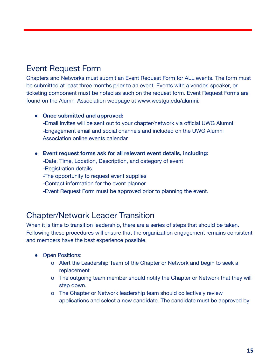## Event Request Form

Chapters and Networks must submit an Event Request Form for ALL events. The form must be submitted at least three months prior to an event. Events with a vendor, speaker, or ticketing component must be noted as such on the request form. Event Request Forms are found on the Alumni Association webpage at www.westga.edu/alumni.

#### **● Once submitted and approved:**

-Email invites will be sent out to your chapter/network via official UWG Alumni -Engagement email and social channels and included on the UWG Alumni Association online events calendar

- **● Event request forms ask for all relevant event details, including:**
	- -Date, Time, Location, Description, and category of event
	- -Registration details
	- -The opportunity to request event supplies
	- -Contact information for the event planner
	- -Event Request Form must be approved prior to planning the event.

#### Chapter/Network Leader Transition

When it is time to transition leadership, there are a series of steps that should be taken. Following these procedures will ensure that the organization engagement remains consistent and members have the best experience possible.

- Open Positions:
	- o Alert the Leadership Team of the Chapter or Network and begin to seek a replacement
	- o The outgoing team member should notify the Chapter or Network that they will step down.
	- o The Chapter or Network leadership team should collectively review applications and select a new candidate. The candidate must be approved by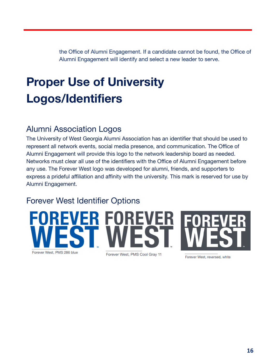the Office of Alumni Engagement. If a candidate cannot be found, the Office of Alumni Engagement will identify and select a new leader to serve.

## **Proper Use of University Logos/Identifiers**

### Alumni Association Logos

The University of West Georgia Alumni Association has an identifier that should be used to represent all network events, social media presence, and communication. The Office of Alumni Engagement will provide this logo to the network leadership board as needed. Networks must clear all use of the identifiers with the Office of Alumni Engagement before any use. The Forever West logo was developed for alumni, friends, and supporters to express a prideful affiliation and affinity with the university. This mark is reserved for use by Alumni Engagement.

### Forever West Identifier Options



Forever West, reversed, white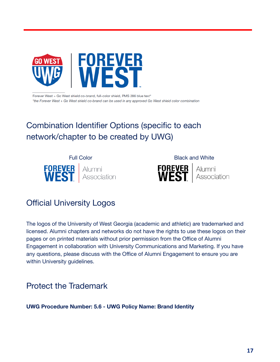

Forever West + Go West shield co-brand, full-color shield, PMS 286 blue text\* \*the Forever West + Go West shield co-brand can be used in any approved Go West shield color combination

## Combination Identifier Options (specific to each network/chapter to be created by UWG)





### Official University Logos

The logos of the University of West Georgia (academic and athletic) are trademarked and licensed. Alumni chapters and networks do not have the rights to use these logos on their pages or on printed materials without prior permission from the Office of Alumni Engagement in collaboration with University Communications and Marketing. If you have any questions, please discuss with the Office of Alumni Engagement to ensure you are within University guidelines.

### Protect the Trademark

**UWG Procedure Number: 5.6 - UWG Policy Name: Brand Identity**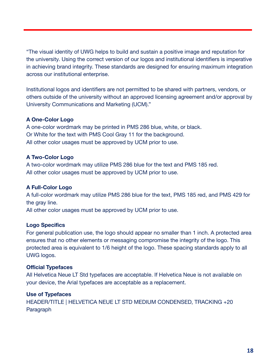"The visual identity of UWG helps to build and sustain a positive image and reputation for the university. Using the correct version of our logos and institutional identifiers is imperative in achieving brand integrity. These standards are designed for ensuring maximum integration across our institutional enterprise.

Institutional logos and identifiers are not permitted to be shared with partners, vendors, or others outside of the university without an approved licensing agreement and/or approval by University Communications and Marketing (UCM)."

#### **A One-Color Logo**

A one-color wordmark may be printed in PMS 286 blue, white, or black. Or White for the text with PMS Cool Gray 11 for the background. All other color usages must be approved by UCM prior to use.

#### **A Two-Color Logo**

A two-color wordmark may utilize PMS 286 blue for the text and PMS 185 red. All other color usages must be approved by UCM prior to use.

#### **A Full-Color Logo**

A full-color wordmark may utilize PMS 286 blue for the text, PMS 185 red, and PMS 429 for the gray line.

All other color usages must be approved by UCM prior to use.

#### **Logo Specifics**

For general publication use, the logo should appear no smaller than 1 inch. A protected area ensures that no other elements or messaging compromise the integrity of the logo. This protected area is equivalent to 1/6 height of the logo. These spacing standards apply to all UWG logos.

#### **Official Typefaces**

All Helvetica Neue LT Std typefaces are acceptable. If Helvetica Neue is not available on your device, the Arial typefaces are acceptable as a replacement.

#### **Use of Typefaces**

HEADER/TITLE | HELVETICA NEUE LT STD MEDIUM CONDENSED, TRACKING +20 **Paragraph**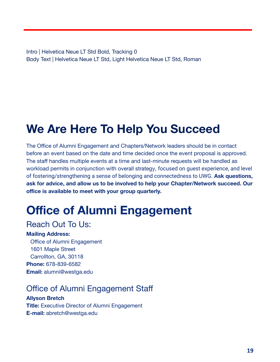Intro | Helvetica Neue LT Std Bold, Tracking 0 Body Text | Helvetica Neue LT Std, Light Helvetica Neue LT Std, Roman

## **We Are Here To Help You Succeed**

The Office of Alumni Engagement and Chapters/Network leaders should be in contact before an event based on the date and time decided once the event proposal is approved. The staff handles multiple events at a time and last-minute requests will be handled as workload permits in conjunction with overall strategy, focused on guest experience, and level of fostering/strengthening a sense of belonging and connectedness to UWG. **Ask questions, ask for advice, and allow us to be involved to help your Chapter/Network succeed. Our office is available to meet with your group quarterly.**

## **Office of Alumni Engagement**

### Reach Out To Us:

#### **Mailing Address:**

Office of Alumni Engagement 1601 Maple Street Carrollton, GA, 30118 **Phone:** 678-839-6582 **Email:** alumni@westga.edu

## Office of Alumni Engagement Staff

#### **Allyson Bretch**

**Title:** Executive Director of Alumni Engagement **E-mail:** abretch@westga.edu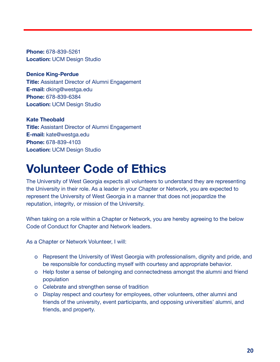**Phone:** 678-839-5261 **Location:** UCM Design Studio

**Denice King-Perdue Title:** Assistant Director of Alumni Engagement **E-mail:** dking@westga.edu **Phone:** 678-839-6384 **Location:** UCM Design Studio

**Kate Theobald Title:** Assistant Director of Alumni Engagement **E-mail:** kate@westga.edu **Phone:** 678-839-4103 **Location:** UCM Design Studio

## **Volunteer Code of Ethics**

The University of West Georgia expects all volunteers to understand they are representing the University in their role. As a leader in your Chapter or Network, you are expected to represent the University of West Georgia in a manner that does not jeopardize the reputation, integrity, or mission of the University.

When taking on a role within a Chapter or Network, you are hereby agreeing to the below Code of Conduct for Chapter and Network leaders.

As a Chapter or Network Volunteer, I will:

- o Represent the University of West Georgia with professionalism, dignity and pride, and be responsible for conducting myself with courtesy and appropriate behavior.
- o Help foster a sense of belonging and connectedness amongst the alumni and friend population
- o Celebrate and strengthen sense of tradition
- o Display respect and courtesy for employees, other volunteers, other alumni and friends of the university, event participants, and opposing universities' alumni, and friends, and property.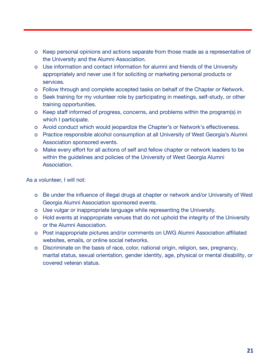- o Keep personal opinions and actions separate from those made as a representative of the University and the Alumni Association.
- o Use information and contact information for alumni and friends of the University appropriately and never use it for soliciting or marketing personal products or services.
- o Follow through and complete accepted tasks on behalf of the Chapter or Network.
- o Seek training for my volunteer role by participating in meetings, self-study, or other training opportunities.
- o Keep staff informed of progress, concerns, and problems within the program(s) in which I participate.
- o Avoid conduct which would jeopardize the Chapter's or Network's effectiveness.
- o Practice responsible alcohol consumption at all University of West Georgia's Alumni Association sponsored events.
- o Make every effort for all actions of self and fellow chapter or network leaders to be within the guidelines and policies of the University of West Georgia Alumni Association.

As a volunteer, I will not:

- o Be under the influence of illegal drugs at chapter or network and/or University of West Georgia Alumni Association sponsored events.
- o Use vulgar or inappropriate language while representing the University.
- o Hold events at inappropriate venues that do not uphold the integrity of the University or the Alumni Association.
- o Post inappropriate pictures and/or comments on UWG Alumni Association affiliated websites, emails, or online social networks.
- o Discriminate on the basis of race, color, national origin, religion, sex, pregnancy, marital status, sexual orientation, gender identity, age, physical or mental disability, or covered veteran status.